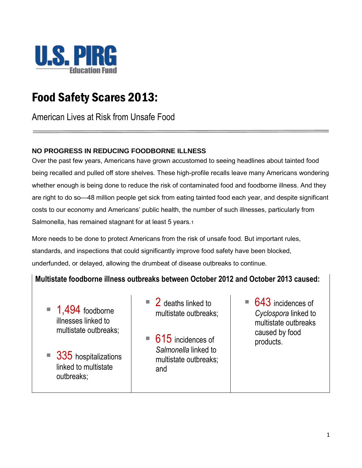

# Food Safety Scares 2013:

American Lives at Risk from Unsafe Food

### **NO PROGRESS IN REDUCING FOODBORNE ILLNESS**

Over the past few years, Americans have grown accustomed to seeing headlines about tainted food being recalled and pulled off store shelves. These high-profile recalls leave many Americans wondering whether enough is being done to reduce the risk of contaminated food and foodborne illness. And they are right to do so—48 million people get sick from eating tainted food each year, and despite significant costs to our economy and Americans' public health, the number of such illnesses, particularly from Salmonella, has remained stagnant for at least 5 years.1

More needs to be done to protect Americans from the risk of unsafe food. But important rules, standards, and inspections that could significantly improve food safety have been blocked, underfunded, or delayed, allowing the drumbeat of disease outbreaks to continue.

### **Multistate foodborne illness outbreaks between October 2012 and October 2013 caused:**

- 1,494 foodborne illnesses linked to multistate outbreaks;
- $\blacksquare$  335 hospitalizations linked to multistate outbreaks;
- 2 deaths linked to multistate outbreaks;
- 615 incidences of *Salmonella* linked to multistate outbreaks; and
- 643 incidences of *Cyclospora* linked to multistate outbreaks caused by food products.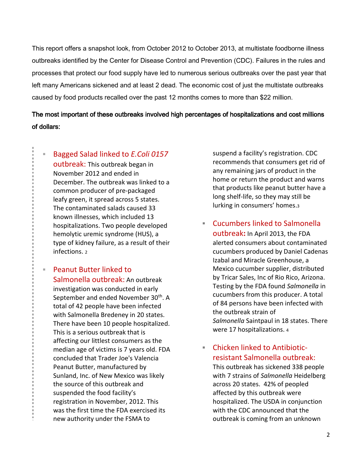This report offers a snapshot look, from October 2012 to October 2013, at multistate foodborne illness outbreaks identified by the Center for Disease Control and Prevention (CDC). Failures in the rules and processes that protect our food supply have led to numerous serious outbreaks over the past year that left many Americans sickened and at least 2 dead. The economic cost of just the multistate outbreaks caused by food products recalled over the past 12 months comes to more than \$22 million.

### The most important of these outbreaks involved high percentages of hospitalizations and cost millions of dollars:

- Bagged Salad linked to *E.Coli 0157*  outbreak: This outbreak began in November 2012 and ended in December. The outbreak was linked to a common producer of pre-packaged leafy green, it spread across 5 states. The contaminated salads caused 33 known illnesses, which included 13 hospitalizations. Two people developed hemolytic uremic syndrome (HUS), a type of kidney failure, as a result of their infections. <sup>2</sup>
- Peanut Butter linked to Salmonella outbreak: An outbreak investigation was conducted in early September and ended November 30<sup>th</sup>. A total of 42 people have been infected with Salmonella Bredeney in 20 states. There have been 10 people hospitalized. This is a serious outbreak that is affecting our littlest consumers as the median age of victims is 7 years old. FDA concluded that Trader Joe's Valencia Peanut Butter, manufactured by Sunland, Inc. of New Mexico was likely the source of this outbreak and suspended the food facility's registration in November, 2012. This was the first time the FDA exercised its new authority under the FSMA to

suspend a facility's registration. CDC recommends that consumers get rid of any remaining jars of product in the home or return the product and warns that products like peanut butter have a long shelf-life, so they may still be lurking in consumers' homes.<sup>3</sup>

- Cucumbers linked to Salmonella outbreak**:** In April 2013, the FDA alerted consumers about contaminated cucumbers produced by Daniel Cadenas Izabal and Miracle Greenhouse, a Mexico cucumber supplier, distributed by Tricar Sales, Inc of Rio Rico, Arizona. Testing by the FDA found *Salmonella* in cucumbers from this producer. A total of 84 persons have been infected with the outbreak strain of *Salmonella* Saintpaul in 18 states. There were 17 hospitalizations. <sup>4</sup>
- Chicken linked to Antibioticresistant Salmonella outbreak:

This outbreak has sickened 338 people with 7 strains of *Salmonella* Heidelberg across 20 states. 42% of peopled affected by this outbreak were hospitalized. The USDA in conjunction with the CDC announced that the outbreak is coming from an unknown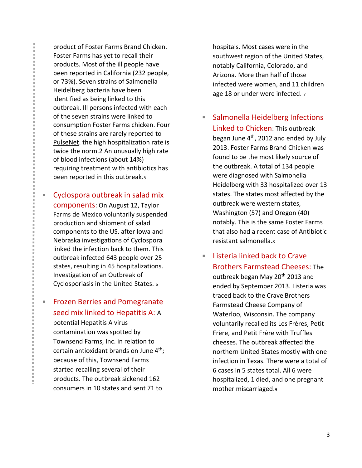product of Foster Farms Brand Chicken. Foster Farms has yet to recall their products. Most of the ill people have been reported in California (232 people, or 73%). Seven strains of Salmonella Heidelberg bacteria have been identified as being linked to this outbreak. Ill persons infected with each of the seven strains were linked to consumption Foster Farms chicken. Four of these strains are rarely reported to [PulseNet.](http://www.cdc.gov/pulsenet/) the high hospitalization rate is twice the norm.2 An unusually high rate of blood infections (about 14%) requiring treatment with antibiotics has been reported in this outbreak.<sup>5</sup>

**Cyclospora outbreak in salad mix** components: On August 12, Taylor Farms de Mexico voluntarily suspended production and shipment of salad components to the US. after Iowa and Nebraska investigations of Cyclospora linked the infection back to them. This outbreak infected 643 people over 25 states, resulting in 45 hospitalizations. Investigation of an Outbreak of Cyclosporiasis in the United States. <sup>6</sup>

**Frozen Berries and Pomegranate** seed mix linked to Hepatitis A: A potential Hepatitis A virus contamination was spotted by Townsend Farms, Inc. in relation to certain antioxidant brands on June  $4<sup>th</sup>$ ; because of this, Townsend Farms started recalling several of their products. The outbreak sickened 162 consumers in 10 states and sent 71 to

hospitals. Most cases were in the southwest region of the United States, notably California, Colorado, and Arizona. More than half of those infected were women, and 11 children age 18 or under were infected. <sup>7</sup>

- Salmonella Heidelberg Infections Linked to Chicken: This outbreak began June  $4<sup>th</sup>$ , 2012 and ended by July 2013. Foster Farms Brand Chicken was found to be the most likely source of the outbreak. A total of 134 people were diagnosed with Salmonella Heidelberg with 33 hospitalized over 13 states. The states most affected by the outbreak were western states, Washington (57) and Oregon (40) notably. This is the same Foster Farms that also had a recent case of Antibiotic resistant salmonella.<sup>8</sup>
- $\blacksquare$  Listeria linked back to Crave Brothers Farmstead Cheeses: The outbreak began May 20<sup>th</sup> 2013 and ended by September 2013. Listeria was traced back to the Crave Brothers Farmstead Cheese Company of Waterloo, Wisconsin. The company voluntarily recalled its Les Frères, Petit Frère, and Petit Frère with Truffles cheeses. The outbreak affected the northern United States mostly with one infection in Texas. There were a total of 6 cases in 5 states total. All 6 were hospitalized, 1 died, and one pregnant mother miscarriaged.9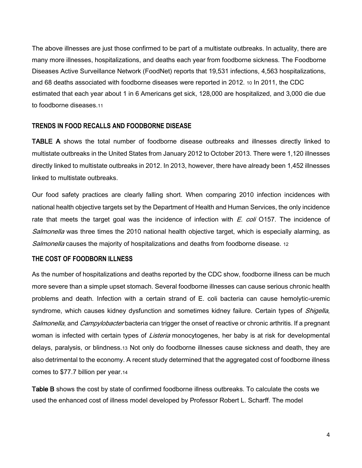The above illnesses are just those confirmed to be part of a multistate outbreaks. In actuality, there are many more illnesses, hospitalizations, and deaths each year from foodborne sickness. The Foodborne Diseases Active Surveillance Network (FoodNet) reports that 19,531 infections, 4,563 hospitalizations, and 68 deaths associated with foodborne diseases were reported in 2012. 10 In 2011, the CDC estimated that each year about 1 in 6 Americans get sick, 128,000 are hospitalized, and 3,000 die due to foodborne diseases 11

#### **TRENDS IN FOOD RECALLS AND FOODBORNE DISEASE**

TABLE A shows the total number of foodborne disease outbreaks and illnesses directly linked to multistate outbreaks in the United States from January 2012 to October 2013. There were 1,120 illnesses directly linked to multistate outbreaks in 2012. In 2013, however, there have already been 1,452 illnesses linked to multistate outbreaks.

Our food safety practices are clearly falling short. When comparing 2010 infection incidences with national health objective targets set by the Department of Health and Human Services, the only incidence rate that meets the target goal was the incidence of infection with  $E$ . coli O157. The incidence of Salmonella was three times the 2010 national health objective target, which is especially alarming, as Salmonella causes the majority of hospitalizations and deaths from foodborne disease. 12

#### **THE COST OF FOODBORN ILLNESS**

As the number of hospitalizations and deaths reported by the CDC show, foodborne illness can be much more severe than a simple upset stomach. Several foodborne illnesses can cause serious chronic health problems and death. Infection with a certain strand of E. coli bacteria can cause hemolytic-uremic syndrome, which causes kidney dysfunction and sometimes kidney failure. Certain types of Shigella, Salmonella, and Campylobacter bacteria can trigger the onset of reactive or chronic arthritis. If a pregnant woman is infected with certain types of *Listeria* monocytogenes, her baby is at risk for developmental delays, paralysis, or blindness.13 Not only do foodborne illnesses cause sickness and death, they are also detrimental to the economy. A recent study determined that the aggregated cost of foodborne illness comes to \$77.7 billion per year.14

Table B shows the cost by state of confirmed foodborne illness outbreaks. To calculate the costs we used the enhanced cost of illness model developed by Professor Robert L. Scharff. The model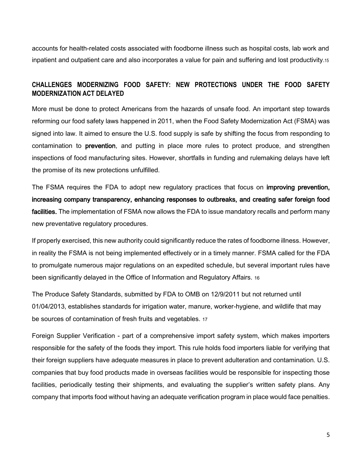accounts for health-related costs associated with foodborne illness such as hospital costs, lab work and inpatient and outpatient care and also incorporates a value for pain and suffering and lost productivity.15

### **CHALLENGES MODERNIZING FOOD SAFETY: NEW PROTECTIONS UNDER THE FOOD SAFETY MODERNIZATION ACT DELAYED**

More must be done to protect Americans from the hazards of unsafe food. An important step towards reforming our food safety laws happened in 2011, when the Food Safety Modernization Act (FSMA) was signed into law. It aimed to ensure the U.S. food supply is safe by shifting the focus from responding to contamination to prevention, and putting in place more rules to protect produce, and strengthen inspections of food manufacturing sites. However, shortfalls in funding and rulemaking delays have left the promise of its new protections unfulfilled.

The FSMA requires the FDA to adopt new regulatory practices that focus on improving prevention, increasing company transparency, enhancing responses to outbreaks, and creating safer foreign food facilities. The implementation of FSMA now allows the FDA to issue mandatory recalls and perform many new preventative regulatory procedures.

If properly exercised, this new authority could significantly reduce the rates of foodborne illness. However, in reality the FSMA is not being implemented effectively or in a timely manner. FSMA called for the FDA to promulgate numerous major regulations on an expedited schedule, but several important rules have been significantly delayed in the Office of Information and Regulatory Affairs. 16

The Produce Safety Standards, submitted by FDA to OMB on 12/9/2011 but not returned until 01/04/2013, establishes standards for irrigation water, manure, worker-hygiene, and wildlife that may be sources of contamination of fresh fruits and vegetables. 17

Foreign Supplier Verification - part of a comprehensive import safety system, which makes importers responsible for the safety of the foods they import. This rule holds food importers liable for verifying that their foreign suppliers have adequate measures in place to prevent adulteration and contamination. U.S. companies that buy food products made in overseas facilities would be responsible for inspecting those facilities, periodically testing their shipments, and evaluating the supplier's written safety plans. Any company that imports food without having an adequate verification program in place would face penalties.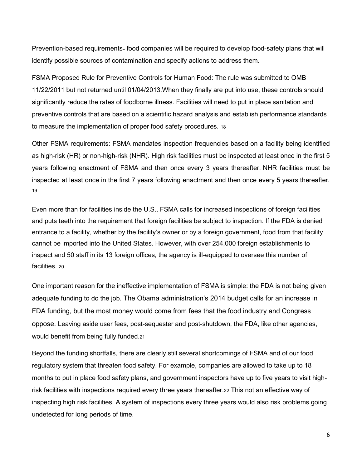Prevention-based requirements- food companies will be required to develop food-safety plans that will identify possible sources of contamination and specify actions to address them.

FSMA Proposed Rule for Preventive Controls for Human Food: The rule was submitted to OMB 11/22/2011 but not returned until 01/04/2013.When they finally are put into use, these controls should significantly reduce the rates of foodborne illness. Facilities will need to put in place sanitation and preventive controls that are based on a scientific hazard analysis and establish performance standards to measure the implementation of proper food safety procedures. 18

Other FSMA requirements: FSMA mandates inspection frequencies based on a facility being identified as high-risk (HR) or non-high-risk (NHR). High risk facilities must be inspected at least once in the first 5 years following enactment of FSMA and then once every 3 years thereafter. NHR facilities must be inspected at least once in the first 7 years following enactment and then once every 5 years thereafter. 19

Even more than for facilities inside the U.S., FSMA calls for increased inspections of foreign facilities and puts teeth into the requirement that foreign facilities be subject to inspection. If the FDA is denied entrance to a facility, whether by the facility's owner or by a foreign government, food from that facility cannot be imported into the United States. However, with over 254,000 foreign establishments to inspect and 50 staff in its 13 foreign offices, the agency is ill-equipped to oversee this number of facilities. 20

One important reason for the ineffective implementation of FSMA is simple: the FDA is not being given adequate funding to do the job. The Obama administration's 2014 budget calls for an increase in FDA funding, but the most money would come from fees that the food industry and Congress oppose. Leaving aside user fees, post-sequester and post-shutdown, the FDA, like other agencies, would benefit from being fully funded.21

Beyond the funding shortfalls, there are clearly still several shortcomings of FSMA and of our food regulatory system that threaten food safety. For example, companies are allowed to take up to 18 months to put in place food safety plans, and government inspectors have up to five years to visit highrisk facilities with inspections required every three years thereafter.22 This not an effective way of inspecting high risk facilities. A system of inspections every three years would also risk problems going undetected for long periods of time.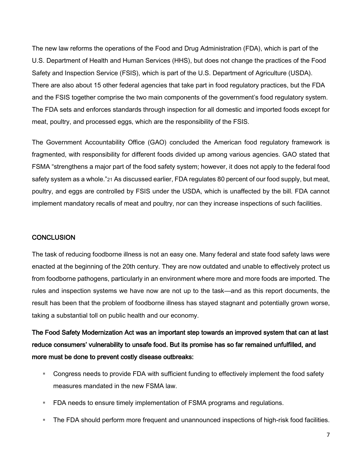The new law reforms the operations of the Food and Drug Administration (FDA), which is part of the U.S. Department of Health and Human Services (HHS), but does not change the practices of the Food Safety and Inspection Service (FSIS), which is part of the U.S. Department of Agriculture (USDA). There are also about 15 other federal agencies that take part in food regulatory practices, but the FDA and the FSIS together comprise the two main components of the government's food regulatory system. The FDA sets and enforces standards through inspection for all domestic and imported foods except for meat, poultry, and processed eggs, which are the responsibility of the FSIS.

The Government Accountability Office (GAO) concluded the American food regulatory framework is fragmented, with responsibility for different foods divided up among various agencies. GAO stated that FSMA "strengthens a major part of the food safety system; however, it does not apply to the federal food safety system as a whole."21 As discussed earlier, FDA regulates 80 percent of our food supply, but meat, poultry, and eggs are controlled by FSIS under the USDA, which is unaffected by the bill. FDA cannot implement mandatory recalls of meat and poultry, nor can they increase inspections of such facilities.

#### **CONCLUSION**

The task of reducing foodborne illness is not an easy one. Many federal and state food safety laws were enacted at the beginning of the 20th century. They are now outdated and unable to effectively protect us from foodborne pathogens, particularly in an environment where more and more foods are imported. The rules and inspection systems we have now are not up to the task—and as this report documents, the result has been that the problem of foodborne illness has stayed stagnant and potentially grown worse, taking a substantial toll on public health and our economy.

The Food Safety Modernization Act was an important step towards an improved system that can at last reduce consumers' vulnerability to unsafe food. But its promise has so far remained unfulfilled, and more must be done to prevent costly disease outbreaks:

- Congress needs to provide FDA with sufficient funding to effectively implement the food safety measures mandated in the new FSMA law.
- **FDA needs to ensure timely implementation of FSMA programs and regulations.**
- The FDA should perform more frequent and unannounced inspections of high-risk food facilities.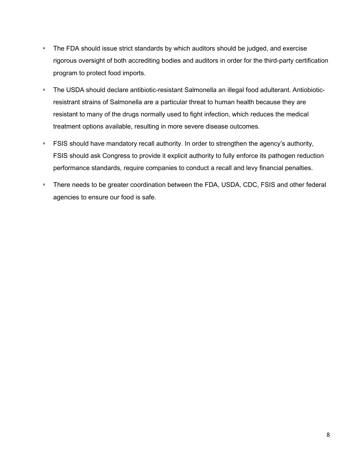- **The FDA should issue strict standards by which auditors should be judged, and exercise** rigorous oversight of both accrediting bodies and auditors in order for the third-party certification program to protect food imports.
- The USDA should declare antibiotic-resistant Salmonella an illegal food adulterant. Antiobioticresistrant strains of Salmonella are a particular threat to human health because they are resistant to many of the drugs normally used to fight infection, which reduces the medical treatment options available, resulting in more severe disease outcomes.
- **FILUT FILUT SHOUT FILM** FILM and a stringular FILM order to strengthen the agency's authority, FSIS should ask Congress to provide it explicit authority to fully enforce its pathogen reduction performance standards, require companies to conduct a recall and levy financial penalties.
- There needs to be greater coordination between the FDA, USDA, CDC, FSIS and other federal agencies to ensure our food is safe.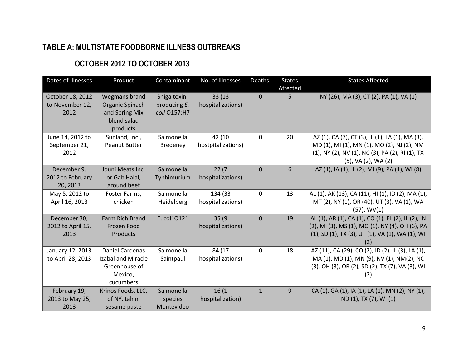# **TABLE A: MULTISTATE FOODBORNE ILLNESS OUTBREAKS**

## **OCTOBER 2012 TO OCTOBER 2013**

| Dates of Illnesses                          | Product                                                                        | Contaminant                                  | No. of Illnesses             | Deaths       | <b>States</b><br>Affected | <b>States Affected</b>                                                                                                                                                  |
|---------------------------------------------|--------------------------------------------------------------------------------|----------------------------------------------|------------------------------|--------------|---------------------------|-------------------------------------------------------------------------------------------------------------------------------------------------------------------------|
| October 18, 2012<br>to November 12,<br>2012 | Wegmans brand<br>Organic Spinach<br>and Spring Mix<br>blend salad<br>products  | Shiga toxin-<br>producing E.<br>coli 0157:H7 | 33 (13)<br>hospitalizations) | $\mathbf{0}$ | 5                         | NY (26), MA (3), CT (2), PA (1), VA (1)                                                                                                                                 |
| June 14, 2012 to<br>September 21,<br>2012   | Sunland, Inc.,<br>Peanut Butter                                                | Salmonella<br>Bredeney                       | 42 (10<br>hostpitalizations) | $\mathbf 0$  | 20                        | AZ (1), CA (7), CT (3), IL (1), LA (1), MA (3),<br>MD (1), MI (1), MN (1), MO (2), NJ (2), NM<br>(1), NY (2), NV (1), NC (3), PA (2), RI (1), TX<br>(5), VA (2), WA (2) |
| December 9,<br>2012 to February<br>20, 2013 | Jouni Meats Inc.<br>or Gab Halal,<br>ground beef                               | Salmonella<br>Typhimurium                    | 22(7)<br>hospitalizations)   | $\mathbf 0$  | 6                         | AZ (1), IA (1), IL (2), MI (9), PA (1), WI (8)                                                                                                                          |
| May 5, 2012 to<br>April 16, 2013            | Foster Farms,<br>chicken                                                       | Salmonella<br>Heidelberg                     | 134 (33<br>hospitalizations) | $\mathbf{0}$ | 13                        | AL (1), AK (13), CA (11), HI (1), ID (2), MA (1),<br>MT (2), NY (1), OR (40), UT (3), VA (1), WA<br>$(57)$ , WV $(1)$                                                   |
| December 30,<br>2012 to April 15,<br>2013   | Farm Rich Brand<br>Frozen Food<br>Products                                     | E. coli 0121                                 | 35(9)<br>hospitalizations)   | $\mathbf{0}$ | 19                        | AL (1), AR (1), CA (1), CO (1), FL (2), IL (2), IN<br>(2), MI (3), MS (1), MO (1), NY (4), OH (6), PA<br>(1), SD (1), TX (3), UT (1), VA (1), WA (1), WI                |
| January 12, 2013<br>to April 28, 2013       | Daniel Cardenas<br>Izabal and Miracle<br>Greenhouse of<br>Mexico,<br>cucumbers | Salmonella<br>Saintpaul                      | 84 (17<br>hospitalizations)  | $\mathbf{0}$ | 18                        | AZ (11), CA (29), CO (2), ID (2), IL (3), LA (1),<br>MA (1), MD (1), MN (9), NV (1), NM(2), NC<br>(3), OH (3), OR (2), SD (2), TX (7), VA (3), WI<br>(2)                |
| February 19,<br>2013 to May 25,<br>2013     | Krinos Foods, LLC,<br>of NY, tahini<br>sesame paste                            | Salmonella<br>species<br>Montevideo          | 16(1)<br>hospitalization)    | $\mathbf{1}$ | 9                         | CA (1), GA (1), IA (1), LA (1), MN (2), NY (1),<br>ND (1), TX (7), WI (1)                                                                                               |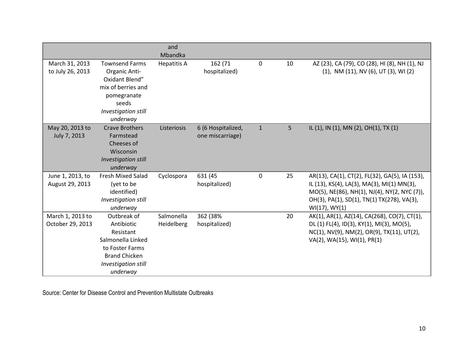|                                      |                                                                                                                                           | and                      |                                        |              |                |                                                                                                                                                                                                                 |
|--------------------------------------|-------------------------------------------------------------------------------------------------------------------------------------------|--------------------------|----------------------------------------|--------------|----------------|-----------------------------------------------------------------------------------------------------------------------------------------------------------------------------------------------------------------|
|                                      |                                                                                                                                           | Mbandka                  |                                        |              |                |                                                                                                                                                                                                                 |
| March 31, 2013<br>to July 26, 2013   | <b>Townsend Farms</b><br>Organic Anti-<br>Oxidant Blend"<br>mix of berries and<br>pomegranate<br>seeds<br>Investigation still<br>underway | <b>Hepatitis A</b>       | 162 (71<br>hospitalized)               | 0            | 10             | AZ (23), CA (79), CO (28), HI (8), NH (1), NJ<br>(1), NM (11), NV (6), UT (3), WI (2)                                                                                                                           |
| May 20, 2013 to<br>July 7, 2013      | <b>Crave Brothers</b><br>Farmstead<br>Cheeses of<br>Wisconsin<br>Investigation still<br>underway                                          | Listeriosis              | 6 (6 Hospitalized,<br>one miscarriage) | $\mathbf{1}$ | 5 <sub>1</sub> | IL (1), IN (1), MN (2), OH(1), TX (1)                                                                                                                                                                           |
| June 1, 2013, to<br>August 29, 2013  | <b>Fresh Mixed Salad</b><br>(yet to be<br>identified)<br>Investigation still<br>underway                                                  | Cyclospora               | 631 (45<br>hospitalized)               | $\mathbf 0$  | 25             | AR(13), CA(1), CT(2), FL(32), GA(5), IA (153),<br>IL (13), KS(4), LA(3), MA(3), MI(1) MN(3),<br>MO(5), NE(86), NH(1), NJ(4), NY(2, NYC(7)),<br>OH(3), PA(1), SD(1), TN(1) TX(278), VA(3),<br>$WI(17)$ , $WY(1)$ |
| March 1, 2013 to<br>October 29, 2013 | Outbreak of<br>Antibiotic<br>Resistant<br>Salmonella Linked<br>to Foster Farms<br><b>Brand Chicken</b><br>Investigation still<br>underway | Salmonella<br>Heidelberg | 362 (38%<br>hospitalized)              |              | 20             | AK(1), AR(1), AZ(14), CA(268), CO(7), CT(1),<br>DL (1) FL(4), ID(3), KY(1), MI(3), MO(5),<br>NC(1), NV(9), NM(2), OR(9), TX(11), UT(2),<br>VA(2), WA(15), WI(1), PR(1)                                          |

Source: Center for Disease Control and Prevention Multistate Outbreaks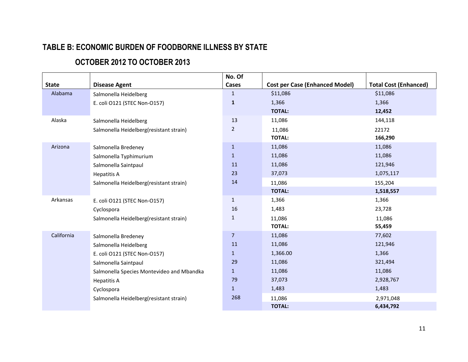# **TABLE B: ECONOMIC BURDEN OF FOODBORNE ILLNESS BY STATE**

# **OCTOBER 2012 TO OCTOBER 2013**

|              |                                           | No. Of         |                                       |                              |
|--------------|-------------------------------------------|----------------|---------------------------------------|------------------------------|
| <b>State</b> | <b>Disease Agent</b>                      | Cases          | <b>Cost per Case (Enhanced Model)</b> | <b>Total Cost (Enhanced)</b> |
| Alabama      | Salmonella Heidelberg                     | $\mathbf{1}$   | \$11,086                              | \$11,086                     |
|              | E. coli O121 (STEC Non-O157)              | $\mathbf{1}$   | 1,366                                 | 1,366                        |
|              |                                           |                | <b>TOTAL:</b>                         | 12,452                       |
| Alaska       | Salmonella Heidelberg                     | 13             | 11,086                                | 144,118                      |
|              | Salmonella Heidelberg(resistant strain)   | $\overline{2}$ | 11,086                                | 22172                        |
|              |                                           |                | <b>TOTAL:</b>                         | 166,290                      |
| Arizona      | Salmonella Bredeney                       | $\mathbf{1}$   | 11,086                                | 11,086                       |
|              | Salmonella Typhimurium                    | $\mathbf{1}$   | 11,086                                | 11,086                       |
|              | Salmonella Saintpaul                      | 11             | 11,086                                | 121,946                      |
|              | <b>Hepatitis A</b>                        | 23             | 37,073                                | 1,075,117                    |
|              | Salmonella Heidelberg(resistant strain)   | 14             | 11,086                                | 155,204                      |
|              |                                           |                | <b>TOTAL:</b>                         | 1,518,557                    |
| Arkansas     | E. coli O121 (STEC Non-O157)              | $\mathbf{1}$   | 1,366                                 | 1,366                        |
|              | Cyclospora                                | 16             | 1,483                                 | 23,728                       |
|              | Salmonella Heidelberg(resistant strain)   | $\mathbf 1$    | 11,086                                | 11,086                       |
|              |                                           |                | <b>TOTAL:</b>                         | 55,459                       |
| California   | Salmonella Bredeney                       | $\overline{7}$ | 11,086                                | 77,602                       |
|              | Salmonella Heidelberg                     | 11             | 11,086                                | 121,946                      |
|              | E. coli O121 (STEC Non-O157)              | $\mathbf{1}$   | 1,366.00                              | 1,366                        |
|              | Salmonella Saintpaul                      | 29             | 11,086                                | 321,494                      |
|              | Salmonella Species Montevideo and Mbandka | $\mathbf{1}$   | 11,086                                | 11,086                       |
|              | <b>Hepatitis A</b>                        | 79             | 37,073                                | 2,928,767                    |
|              | Cyclospora                                | $\mathbf{1}$   | 1,483                                 | 1,483                        |
|              | Salmonella Heidelberg(resistant strain)   | 268            | 11,086                                | 2,971,048                    |
|              |                                           |                | <b>TOTAL:</b>                         | 6,434,792                    |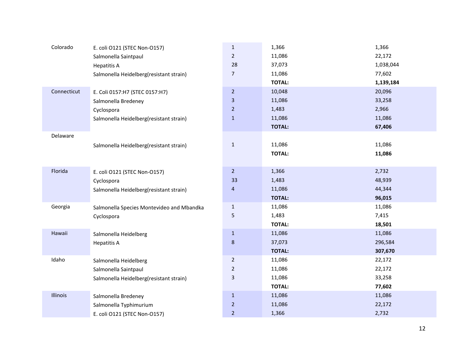| Colorado    | E. coli O121 (STEC Non-O157)              | $\mathbf{1}$            | 1,366         | 1,366     |
|-------------|-------------------------------------------|-------------------------|---------------|-----------|
|             | Salmonella Saintpaul                      | $\overline{2}$          | 11,086        | 22,172    |
|             | <b>Hepatitis A</b>                        | 28                      | 37,073        | 1,038,044 |
|             | Salmonella Heidelberg(resistant strain)   | $\overline{7}$          | 11,086        | 77,602    |
|             |                                           |                         | <b>TOTAL:</b> | 1,139,184 |
| Connecticut | E. Coli 0157:H7 (STEC 0157:H7)            | $\overline{2}$          | 10,048        | 20,096    |
|             | Salmonella Bredeney                       | $\overline{\mathbf{3}}$ | 11,086        | 33,258    |
|             | Cyclospora                                | $\overline{2}$          | 1,483         | 2,966     |
|             | Salmonella Heidelberg(resistant strain)   | $\mathbf 1$             | 11,086        | 11,086    |
|             |                                           |                         | <b>TOTAL:</b> | 67,406    |
| Delaware    |                                           |                         |               |           |
|             | Salmonella Heidelberg(resistant strain)   | $\mathbf{1}$            | 11,086        | 11,086    |
|             |                                           |                         | <b>TOTAL:</b> | 11,086    |
|             |                                           |                         |               |           |
| Florida     | E. coli O121 (STEC Non-O157)              | 2 <sup>1</sup>          | 1,366         | 2,732     |
|             | Cyclospora                                | 33                      | 1,483         | 48,939    |
|             | Salmonella Heidelberg(resistant strain)   | 4                       | 11,086        | 44,344    |
|             |                                           |                         | <b>TOTAL:</b> | 96,015    |
| Georgia     | Salmonella Species Montevideo and Mbandka | $\mathbf{1}$            | 11,086        | 11,086    |
|             | Cyclospora                                | 5                       | 1,483         | 7,415     |
|             |                                           |                         | <b>TOTAL:</b> | 18,501    |
| Hawaii      | Salmonella Heidelberg                     | $1\,$                   | 11,086        | 11,086    |
|             | <b>Hepatitis A</b>                        | 8                       | 37,073        | 296,584   |
|             |                                           |                         | <b>TOTAL:</b> | 307,670   |
| Idaho       | Salmonella Heidelberg                     | $\overline{2}$          | 11,086        | 22,172    |
|             | Salmonella Saintpaul                      | $\overline{2}$          | 11,086        | 22,172    |
|             | Salmonella Heidelberg(resistant strain)   | 3                       | 11,086        | 33,258    |
|             |                                           |                         | <b>TOTAL:</b> | 77,602    |
| Illinois    | Salmonella Bredeney                       | $\mathbf{1}$            | 11,086        | 11,086    |
|             | Salmonella Typhimurium                    | $\overline{2}$          | 11,086        | 22,172    |
|             | E. coli O121 (STEC Non-O157)              | $\overline{2}$          | 1,366         | 2,732     |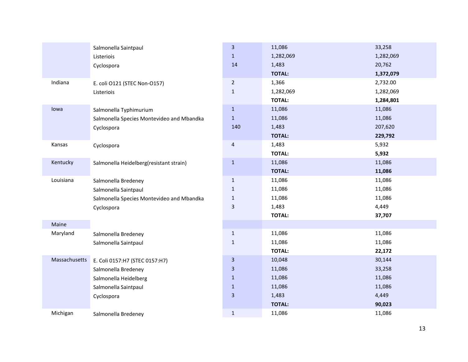|               | Salmonella Saintpaul                      | $\overline{\mathbf{3}}$ | 11,086        | 33,258    |
|---------------|-------------------------------------------|-------------------------|---------------|-----------|
|               | Listeriois                                | $\mathbf{1}$            | 1,282,069     | 1,282,069 |
|               | Cyclospora                                | 14                      | 1,483         | 20,762    |
|               |                                           |                         | <b>TOTAL:</b> | 1,372,079 |
| Indiana       | E. coli O121 (STEC Non-O157)              | $\overline{2}$          | 1,366         | 2,732.00  |
|               | Listeriois                                | $1\,$                   | 1,282,069     | 1,282,069 |
|               |                                           |                         | <b>TOTAL:</b> | 1,284,801 |
| lowa          | Salmonella Typhimurium                    | $\mathbf{1}$            | 11,086        | 11,086    |
|               | Salmonella Species Montevideo and Mbandka | $1\,$                   | 11,086        | 11,086    |
|               | Cyclospora                                | 140                     | 1,483         | 207,620   |
|               |                                           |                         | <b>TOTAL:</b> | 229,792   |
| Kansas        | Cyclospora                                | $\overline{\mathbf{4}}$ | 1,483         | 5,932     |
|               |                                           |                         | <b>TOTAL:</b> | 5,932     |
| Kentucky      | Salmonella Heidelberg(resistant strain)   | $1\,$                   | 11,086        | 11,086    |
|               |                                           |                         | <b>TOTAL:</b> | 11,086    |
| Louisiana     | Salmonella Bredeney                       | $\mathbf{1}$            | 11,086        | 11,086    |
|               | Salmonella Saintpaul                      | $1\,$                   | 11,086        | 11,086    |
|               | Salmonella Species Montevideo and Mbandka | $\mathbf{1}$            | 11,086        | 11,086    |
|               | Cyclospora                                | $\mathsf{3}$            | 1,483         | 4,449     |
|               |                                           |                         | <b>TOTAL:</b> | 37,707    |
| Maine         |                                           |                         |               |           |
| Maryland      | Salmonella Bredeney                       | $\,1\,$                 | 11,086        | 11,086    |
|               | Salmonella Saintpaul                      | $\mathbf{1}$            | 11,086        | 11,086    |
|               |                                           |                         | <b>TOTAL:</b> | 22,172    |
| Massachusetts | E. Coli 0157:H7 (STEC 0157:H7)            | $\overline{\mathbf{3}}$ | 10,048        | 30,144    |
|               | Salmonella Bredeney                       | $\overline{\mathbf{3}}$ | 11,086        | 33,258    |
|               | Salmonella Heidelberg                     | $\mathbf{1}$            | 11,086        | 11,086    |
|               | Salmonella Saintpaul                      | $1\,$                   | 11,086        | 11,086    |
|               | Cyclospora                                | $\overline{\mathbf{3}}$ | 1,483         | 4,449     |
|               |                                           |                         | <b>TOTAL:</b> | 90,023    |
| Michigan      | Salmonella Bredeney                       | $1\,$                   | 11,086        | 11,086    |
|               |                                           |                         |               |           |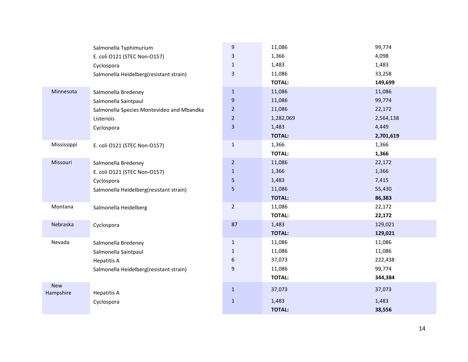|                         | Salmonella Typhimurium                    | 9              | 11,086        | 99,774    |
|-------------------------|-------------------------------------------|----------------|---------------|-----------|
|                         | E. coli O121 (STEC Non-O157)              | 3              | 1,366         | 4,098     |
|                         | Cyclospora                                | $\mathbf{1}$   | 1,483         | 1,483     |
|                         | Salmonella Heidelberg(resistant strain)   | 3              | 11,086        | 33,258    |
|                         |                                           |                | <b>TOTAL:</b> | 149,699   |
| Minnesota               | Salmonella Bredeney                       | $\mathbf{1}$   | 11,086        | 11,086    |
|                         | Salmonella Saintpaul                      | 9              | 11,086        | 99,774    |
|                         | Salmonella Species Montevideo and Mbandka | $\overline{2}$ | 11,086        | 22,172    |
|                         | Listeriois                                | $\overline{2}$ | 1,282,069     | 2,564,138 |
|                         | Cyclospora                                | 3              | 1,483         | 4,449     |
|                         |                                           |                | <b>TOTAL:</b> | 2,701,619 |
| Mississippi             | E. coli O121 (STEC Non-O157)              | $\mathbf 1$    | 1,366         | 1,366     |
|                         |                                           |                | <b>TOTAL:</b> | 1,366     |
| Missouri                | Salmonella Bredeney                       | $\overline{2}$ | 11,086        | 22,172    |
|                         | E. coli O121 (STEC Non-O157)              | $\mathbf{1}$   | 1,366         | 1,366     |
|                         | Cyclospora                                | 5              | 1,483         | 7,415     |
|                         | Salmonella Heidelberg(resistant strain)   | 5              | 11,086        | 55,430    |
|                         |                                           |                | <b>TOTAL:</b> | 86,383    |
| Montana                 | Salmonella Heidelberg                     | $\overline{2}$ | 11,086        | 22,172    |
|                         |                                           |                | <b>TOTAL:</b> | 22,172    |
| Nebraska                | Cyclospora                                | 87             | 1,483         | 129,021   |
|                         |                                           |                | <b>TOTAL:</b> | 129,021   |
| Nevada                  | Salmonella Bredeney                       | $\mathbf{1}$   | 11,086        | 11,086    |
|                         | Salmonella Saintpaul                      | $\mathbf{1}$   | 11,086        | 11,086    |
|                         | <b>Hepatitis A</b>                        | 6              | 37,073        | 222,438   |
|                         | Salmonella Heidelberg(resistant strain)   | 9              | 11,086        | 99,774    |
|                         |                                           |                | <b>TOTAL:</b> | 344,384   |
| <b>New</b><br>Hampshire | <b>Hepatitis A</b>                        | $\mathbf{1}$   | 37,073        | 37,073    |
|                         | Cyclospora                                | $\mathbf{1}$   | 1,483         | 1,483     |
|                         |                                           |                | <b>TOTAL:</b> | 38,556    |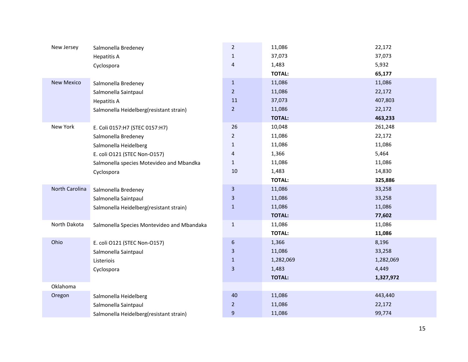| New Jersey        | Salmonella Bredeney                        | $\overline{2}$          | 11,086        | 22,172    |
|-------------------|--------------------------------------------|-------------------------|---------------|-----------|
|                   | <b>Hepatitis A</b>                         | $\mathbf{1}$            | 37,073        | 37,073    |
|                   | Cyclospora                                 | 4                       | 1,483         | 5,932     |
|                   |                                            |                         | <b>TOTAL:</b> | 65,177    |
| <b>New Mexico</b> | Salmonella Bredeney                        | $\mathbf{1}$            | 11,086        | 11,086    |
|                   | Salmonella Saintpaul                       | $\overline{2}$          | 11,086        | 22,172    |
|                   | <b>Hepatitis A</b>                         | 11                      | 37,073        | 407,803   |
|                   | Salmonella Heidelberg(resistant strain)    | $\overline{2}$          | 11,086        | 22,172    |
|                   |                                            |                         | <b>TOTAL:</b> | 463,233   |
| New York          | E. Coli 0157:H7 (STEC 0157:H7)             | 26                      | 10,048        | 261,248   |
|                   | Salmonella Bredeney                        | $\overline{2}$          | 11,086        | 22,172    |
|                   | Salmonella Heidelberg                      | $\mathbf{1}$            | 11,086        | 11,086    |
|                   | E. coli O121 (STEC Non-O157)               | 4                       | 1,366         | 5,464     |
|                   | Salmonella species Motevideo and Mbandka   | $\mathbf{1}$            | 11,086        | 11,086    |
|                   | Cyclospora                                 | 10                      | 1,483         | 14,830    |
|                   |                                            |                         | <b>TOTAL:</b> | 325,886   |
| North Carolina    | Salmonella Bredeney                        | $\overline{\mathbf{3}}$ | 11,086        | 33,258    |
|                   | Salmonella Saintpaul                       | 3                       | 11,086        | 33,258    |
|                   | Salmonella Heidelberg(resistant strain)    | $\mathbf{1}$            | 11,086        | 11,086    |
|                   |                                            |                         | <b>TOTAL:</b> | 77,602    |
| North Dakota      | Salmonella Species Montevideo and Mbandaka | $\mathbf{1}$            | 11,086        | 11,086    |
|                   |                                            |                         | <b>TOTAL:</b> | 11,086    |
| Ohio              | E. coli O121 (STEC Non-O157)               | 6                       | 1,366         | 8,196     |
|                   | Salmonella Saintpaul                       | $\overline{\mathbf{3}}$ | 11,086        | 33,258    |
|                   | Listeriois                                 | $\mathbf{1}$            | 1,282,069     | 1,282,069 |
|                   | Cyclospora                                 | $\overline{\mathbf{3}}$ | 1,483         | 4,449     |
|                   |                                            |                         | <b>TOTAL:</b> | 1,327,972 |
| Oklahoma          |                                            |                         |               |           |
| Oregon            | Salmonella Heidelberg                      | 40                      | 11,086        | 443,440   |
|                   | Salmonella Saintpaul                       | $\overline{2}$          | 11,086        | 22,172    |
|                   | Salmonella Heidelberg(resistant strain)    | 9                       | 11,086        | 99,774    |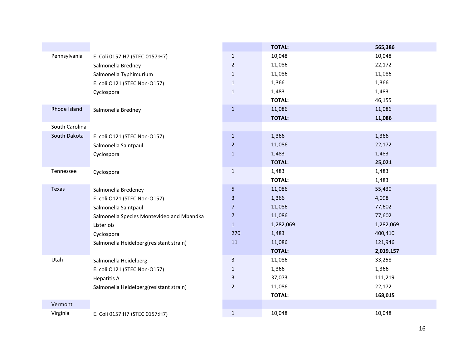|                |                                           |                         | <b>TOTAL:</b> | 565,386   |
|----------------|-------------------------------------------|-------------------------|---------------|-----------|
| Pennsylvania   | E. Coli 0157:H7 (STEC 0157:H7)            | $1\,$                   | 10,048        | 10,048    |
|                | Salmonella Bredney                        | $\overline{2}$          | 11,086        | 22,172    |
|                | Salmonella Typhimurium                    | $\mathbf{1}$            | 11,086        | 11,086    |
|                | E. coli O121 (STEC Non-O157)              | $\mathbf{1}$            | 1,366         | 1,366     |
|                | Cyclospora                                | $\mathbf{1}$            | 1,483         | 1,483     |
|                |                                           |                         | <b>TOTAL:</b> | 46,155    |
| Rhode Island   | Salmonella Bredney                        | $\mathbf 1$             | 11,086        | 11,086    |
|                |                                           |                         | <b>TOTAL:</b> | 11,086    |
| South Carolina |                                           |                         |               |           |
| South Dakota   | E. coli O121 (STEC Non-O157)              | $\mathbf{1}$            | 1,366         | 1,366     |
|                | Salmonella Saintpaul                      | $\overline{2}$          | 11,086        | 22,172    |
|                | Cyclospora                                | $\mathbf{1}$            | 1,483         | 1,483     |
|                |                                           |                         | <b>TOTAL:</b> | 25,021    |
| Tennessee      | Cyclospora                                | $\mathbf 1$             | 1,483         | 1,483     |
|                |                                           |                         | <b>TOTAL:</b> | 1,483     |
| Texas          | Salmonella Bredeney                       | $\sqrt{5}$              | 11,086        | 55,430    |
|                | E. coli O121 (STEC Non-O157)              | $\overline{\mathbf{3}}$ | 1,366         | 4,098     |
|                | Salmonella Saintpaul                      | $\overline{7}$          | 11,086        | 77,602    |
|                | Salmonella Species Montevideo and Mbandka | $\overline{7}$          | 11,086        | 77,602    |
|                | Listeriois                                | $\mathbf{1}$            | 1,282,069     | 1,282,069 |
|                | Cyclospora                                | 270                     | 1,483         | 400,410   |
|                | Salmonella Heidelberg(resistant strain)   | 11                      | 11,086        | 121,946   |
|                |                                           |                         | <b>TOTAL:</b> | 2,019,157 |
| Utah           | Salmonella Heidelberg                     | $\mathbf{3}$            | 11,086        | 33,258    |
|                | E. coli O121 (STEC Non-O157)              | $\mathbf{1}$            | 1,366         | 1,366     |
|                | <b>Hepatitis A</b>                        | $\mathbf{3}$            | 37,073        | 111,219   |
|                | Salmonella Heidelberg(resistant strain)   | $\overline{2}$          | 11,086        | 22,172    |
|                |                                           |                         | <b>TOTAL:</b> | 168,015   |
| Vermont        |                                           |                         |               |           |
| Virginia       | E. Coli 0157:H7 (STEC 0157:H7)            | $\mathbf 1$             | 10,048        | 10,048    |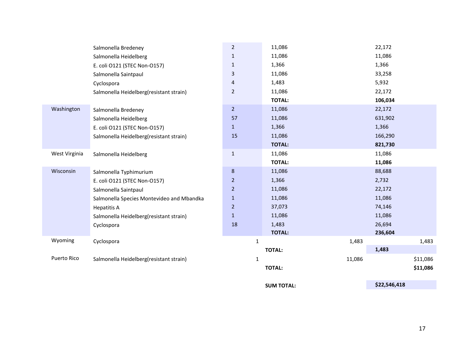|               | Salmonella Bredeney                       | $\overline{2}$ | 11,086        |        | 22,172  |          |
|---------------|-------------------------------------------|----------------|---------------|--------|---------|----------|
|               | Salmonella Heidelberg                     | $\mathbf{1}$   | 11,086        |        | 11,086  |          |
|               | E. coli O121 (STEC Non-O157)              | $\mathbf{1}$   | 1,366         |        | 1,366   |          |
|               | Salmonella Saintpaul                      | 3              | 11,086        |        | 33,258  |          |
|               | Cyclospora                                | 4              | 1,483         |        | 5,932   |          |
|               | Salmonella Heidelberg(resistant strain)   | $\overline{2}$ | 11,086        |        | 22,172  |          |
|               |                                           |                | <b>TOTAL:</b> |        | 106,034 |          |
| Washington    | Salmonella Bredeney                       | $\overline{2}$ | 11,086        |        | 22,172  |          |
|               | Salmonella Heidelberg                     | 57             | 11,086        |        | 631,902 |          |
|               | E. coli O121 (STEC Non-O157)              | $\mathbf{1}$   | 1,366         |        | 1,366   |          |
|               | Salmonella Heidelberg(resistant strain)   | 15             | 11,086        |        | 166,290 |          |
|               |                                           |                | <b>TOTAL:</b> |        | 821,730 |          |
| West Virginia | Salmonella Heidelberg                     | $1\,$          | 11,086        |        | 11,086  |          |
|               |                                           |                | <b>TOTAL:</b> |        | 11,086  |          |
| Wisconsin     | Salmonella Typhimurium                    | $\bf 8$        | 11,086        |        | 88,688  |          |
|               | E. coli O121 (STEC Non-O157)              | $\overline{2}$ | 1,366         |        | 2,732   |          |
|               | Salmonella Saintpaul                      | $\overline{2}$ | 11,086        |        | 22,172  |          |
|               | Salmonella Species Montevideo and Mbandka | $\mathbf{1}$   | 11,086        |        | 11,086  |          |
|               | <b>Hepatitis A</b>                        | $\overline{2}$ | 37,073        |        | 74,146  |          |
|               | Salmonella Heidelberg(resistant strain)   | $\mathbf{1}$   | 11,086        |        | 11,086  |          |
|               | Cyclospora                                | 18             | 1,483         |        | 26,694  |          |
|               |                                           |                | <b>TOTAL:</b> |        | 236,604 |          |
| Wyoming       | Cyclospora                                | $\mathbf{1}$   |               | 1,483  |         | 1,483    |
|               |                                           |                | <b>TOTAL:</b> |        | 1,483   |          |
| Puerto Rico   | Salmonella Heidelberg(resistant strain)   | 1              |               | 11,086 |         | \$11,086 |
|               |                                           |                | <b>TOTAL:</b> |        |         | \$11,086 |
|               |                                           |                |               |        |         |          |

**SUM TOTAL: \$22,546,418**